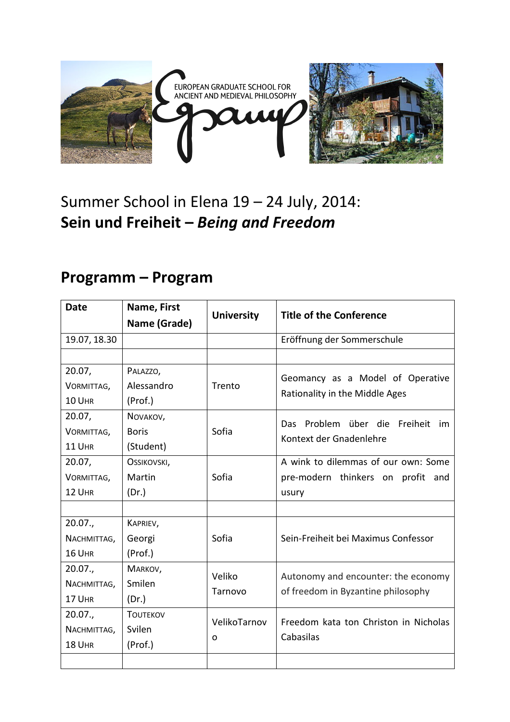

## Summer School in Elena 19 – 24 July, 2014: **Sein und Freiheit –** *Being and Freedom*

## **Programm – Program**

| <b>Date</b>  | Name, First     | <b>University</b> | <b>Title of the Conference</b>                                     |
|--------------|-----------------|-------------------|--------------------------------------------------------------------|
|              | Name (Grade)    |                   |                                                                    |
| 19.07, 18.30 |                 |                   | Eröffnung der Sommerschule                                         |
|              |                 |                   |                                                                    |
| 20.07,       | PALAZZO,        | Trento            | Geomancy as a Model of Operative<br>Rationality in the Middle Ages |
| VORMITTAG,   | Alessandro      |                   |                                                                    |
| 10 UHR       | (Prof.)         |                   |                                                                    |
| 20.07,       | NOVAKOV,        | Sofia             | Das Problem über die Freiheit<br>im<br>Kontext der Gnadenlehre     |
| VORMITTAG,   | <b>Boris</b>    |                   |                                                                    |
| 11 UHR       | (Student)       |                   |                                                                    |
| 20.07,       | OSSIKOVSKI,     |                   | A wink to dilemmas of our own: Some                                |
| VORMITTAG,   | Martin          | Sofia             | pre-modern thinkers on profit<br>and                               |
| 12 UHR       | (Dr.)           |                   | usury                                                              |
|              |                 |                   |                                                                    |
| 20.07.,      | KAPRIEV,        |                   |                                                                    |
| NACHMITTAG,  | Georgi          | Sofia             | Sein-Freiheit bei Maximus Confessor                                |
| 16 UHR       | (Prof.)         |                   |                                                                    |
| 20.07.       | MARKOV,         | Veliko            | Autonomy and encounter: the economy                                |
| NACHMITTAG,  | Smilen          |                   |                                                                    |
| 17 UHR       | (Dr.)           | Tarnovo           | of freedom in Byzantine philosophy                                 |
| 20.07.       | <b>TOUTEKOV</b> | VelikoTarnov<br>O | Freedom kata ton Christon in Nicholas<br>Cabasilas                 |
| NACHMITTAG,  | Svilen          |                   |                                                                    |
| 18 UHR       | (Prof.)         |                   |                                                                    |
|              |                 |                   |                                                                    |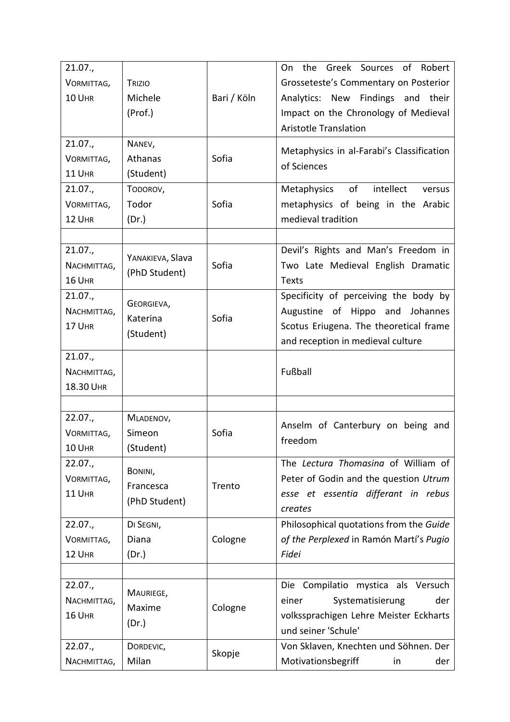| 21.07.,<br>VORMITTAG,<br>10 UHR     | TRIZIO<br>Michele<br>(Prof.)          | Bari / Köln | On the Greek Sources of Robert<br>Grosseteste's Commentary on Posterior<br>Analytics: New Findings and their<br>Impact on the Chronology of Medieval<br><b>Aristotle Translation</b> |
|-------------------------------------|---------------------------------------|-------------|--------------------------------------------------------------------------------------------------------------------------------------------------------------------------------------|
| 21.07.,<br>VORMITTAG,<br>11 UHR     | NANEV,<br>Athanas<br>(Student)        | Sofia       | Metaphysics in al-Farabi's Classification<br>of Sciences                                                                                                                             |
| 21.07.,<br>VORMITTAG,<br>12 UHR     | TODOROV,<br>Todor<br>(Dr.)            | Sofia       | of<br>intellect<br>Metaphysics<br>versus<br>metaphysics of being in the Arabic<br>medieval tradition                                                                                 |
| 21.07.,<br>NACHMITTAG,<br>16 UHR    | YANAKIEVA, Slava<br>(PhD Student)     | Sofia       | Devil's Rights and Man's Freedom in<br>Two Late Medieval English Dramatic<br><b>Texts</b>                                                                                            |
| 21.07.,<br>NACHMITTAG,<br>17 UHR    | GEORGIEVA,<br>Katerina<br>(Student)   | Sofia       | Specificity of perceiving the body by<br>Augustine of Hippo and Johannes<br>Scotus Eriugena. The theoretical frame<br>and reception in medieval culture                              |
| 21.07.,<br>NACHMITTAG,<br>18.30 UHR |                                       |             | Fußball                                                                                                                                                                              |
| 22.07.,<br>VORMITTAG,<br>10 UHR     | MLADENOV,<br>Simeon<br>(Student)      | Sofia       | Anselm of Canterbury on being and<br>freedom                                                                                                                                         |
| 22.07.,<br>VORMITTAG,<br>11 UHR     | BONINI,<br>Francesca<br>(PhD Student) | Trento      | The Lectura Thomasina of William of<br>Peter of Godin and the question Utrum<br>esse et essentia differant in rebus<br>creates                                                       |
| 22.07.,<br>VORMITTAG,<br>12 UHR     | DI SEGNI,<br>Diana<br>(Dr.)           | Cologne     | Philosophical quotations from the Guide<br>of the Perplexed in Ramón Martí's Pugio<br>Fidei                                                                                          |
| 22.07.,<br>NACHMITTAG,<br>16 UHR    | MAURIEGE,<br>Maxime<br>(Dr.)          | Cologne     | Die Compilatio mystica als Versuch<br>Systematisierung<br>einer<br>der<br>volkssprachigen Lehre Meister Eckharts<br>und seiner 'Schule'                                              |
| 22.07.,<br>NACHMITTAG,              | DORDEVIC,<br>Milan                    | Skopje      | Von Sklaven, Knechten und Söhnen. Der<br>Motivationsbegriff<br>der<br>in                                                                                                             |